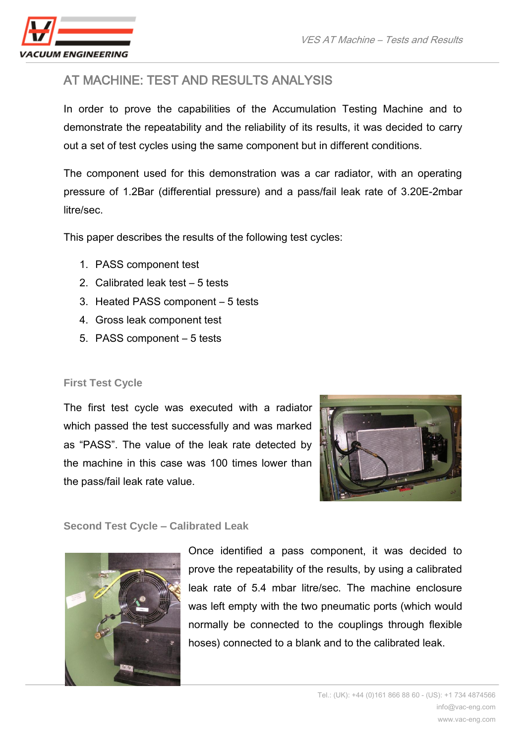

# AT MACHINE: TEST AND RESULTS ANALYSIS

In order to prove the capabilities of the Accumulation Testing Machine and to demonstrate the repeatability and the reliability of its results, it was decided to carry out a set of test cycles using the same component but in different conditions.

The component used for this demonstration was a car radiator, with an operating pressure of 1.2Bar (differential pressure) and a pass/fail leak rate of 3.20E-2mbar litre/sec.

This paper describes the results of the following test cycles:

- 1. PASS component test
- 2. Calibrated leak test 5 tests
- 3. Heated PASS component 5 tests
- 4. Gross leak component test
- 5. PASS component 5 tests

### **First Test Cycle**

The first test cycle was executed with a radiator which passed the test successfully and was marked as "PASS". The value of the leak rate detected by the machine in this case was 100 times lower than the pass/fail leak rate value.



### **Second Test Cycle – Calibrated Leak**



Once identified a pass component, it was decided to prove the repeatability of the results, by using a calibrated leak rate of 5.4 mbar litre/sec. The machine enclosure was left empty with the two pneumatic ports (which would normally be connected to the couplings through flexible hoses) connected to a blank and to the calibrated leak.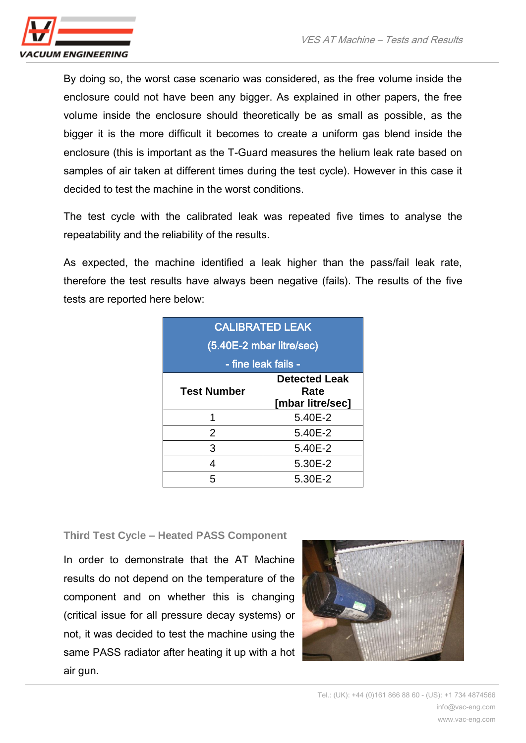

By doing so, the worst case scenario was considered, as the free volume inside the enclosure could not have been any bigger. As explained in other papers, the free volume inside the enclosure should theoretically be as small as possible, as the bigger it is the more difficult it becomes to create a uniform gas blend inside the enclosure (this is important as the T-Guard measures the helium leak rate based on samples of air taken at different times during the test cycle). However in this case it decided to test the machine in the worst conditions.

The test cycle with the calibrated leak was repeated five times to analyse the repeatability and the reliability of the results.

As expected, the machine identified a leak higher than the pass/fail leak rate, therefore the test results have always been negative (fails). The results of the five tests are reported here below:

| <b>CALIBRATED LEAK</b><br>(5.40E-2 mbar litre/sec)<br>- fine leak fails - |                                                  |
|---------------------------------------------------------------------------|--------------------------------------------------|
| <b>Test Number</b>                                                        | <b>Detected Leak</b><br>Rate<br>[mbar litre/sec] |
|                                                                           | 5.40E-2                                          |
| $\overline{2}$                                                            | 5.40E-2                                          |
| 3                                                                         | 5.40E-2                                          |
| 4                                                                         | 5.30E-2                                          |
| 5                                                                         | 5.30E-2                                          |

#### **Third Test Cycle – Heated PASS Component**

In order to demonstrate that the AT Machine results do not depend on the temperature of the component and on whether this is changing (critical issue for all pressure decay systems) or not, it was decided to test the machine using the same PASS radiator after heating it up with a hot air gun.

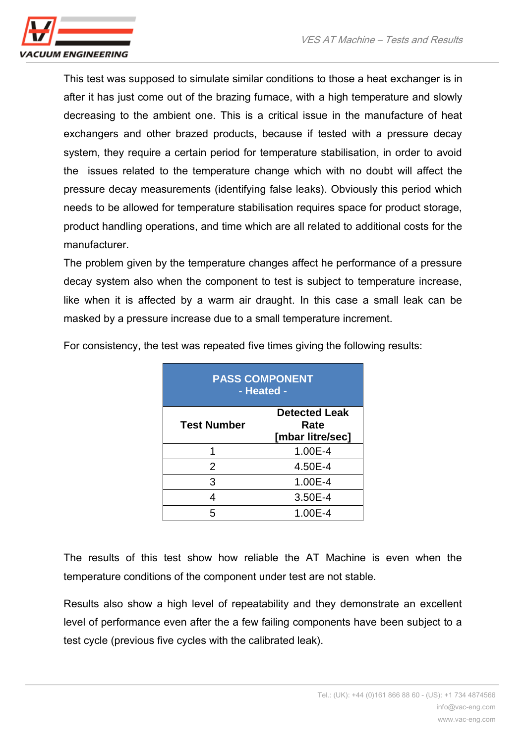

This test was supposed to simulate similar conditions to those a heat exchanger is in after it has just come out of the brazing furnace, with a high temperature and slowly decreasing to the ambient one. This is a critical issue in the manufacture of heat exchangers and other brazed products, because if tested with a pressure decay system, they require a certain period for temperature stabilisation, in order to avoid the issues related to the temperature change which with no doubt will affect the pressure decay measurements (identifying false leaks). Obviously this period which needs to be allowed for temperature stabilisation requires space for product storage, product handling operations, and time which are all related to additional costs for the manufacturer.

The problem given by the temperature changes affect he performance of a pressure decay system also when the component to test is subject to temperature increase, like when it is affected by a warm air draught. In this case a small leak can be masked by a pressure increase due to a small temperature increment.

| <b>PASS COMPONENT</b><br>- Heated - |                                                  |
|-------------------------------------|--------------------------------------------------|
| <b>Test Number</b>                  | <b>Detected Leak</b><br>Rate<br>[mbar litre/sec] |
|                                     | 1.00E-4                                          |
| $\overline{2}$                      | 4.50E-4                                          |
| 3                                   | 1.00E-4                                          |
|                                     | 3.50E-4                                          |
|                                     | 1.00E-4                                          |

For consistency, the test was repeated five times giving the following results:

The results of this test show how reliable the AT Machine is even when the temperature conditions of the component under test are not stable.

Results also show a high level of repeatability and they demonstrate an excellent level of performance even after the a few failing components have been subject to a test cycle (previous five cycles with the calibrated leak).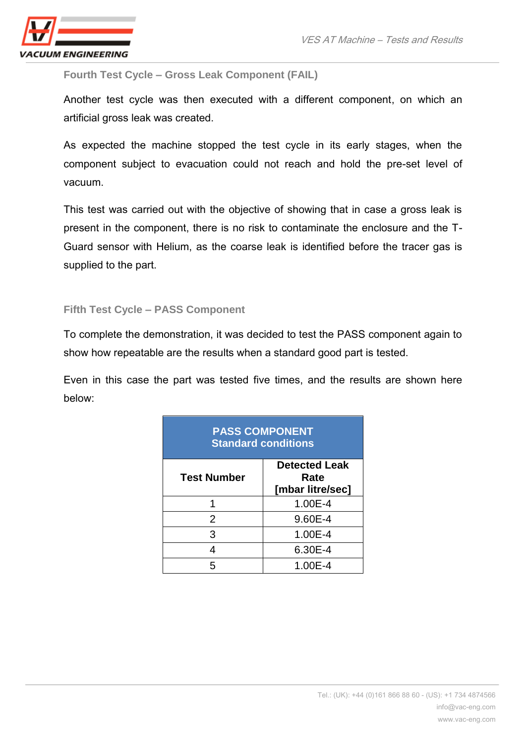

**Fourth Test Cycle – Gross Leak Component (FAIL)**

Another test cycle was then executed with a different component, on which an artificial gross leak was created.

As expected the machine stopped the test cycle in its early stages, when the component subject to evacuation could not reach and hold the pre-set level of vacuum.

This test was carried out with the objective of showing that in case a gross leak is present in the component, there is no risk to contaminate the enclosure and the T-Guard sensor with Helium, as the coarse leak is identified before the tracer gas is supplied to the part.

### **Fifth Test Cycle – PASS Component**

To complete the demonstration, it was decided to test the PASS component again to show how repeatable are the results when a standard good part is tested.

Even in this case the part was tested five times, and the results are shown here below:

| <b>PASS COMPONENT</b><br><b>Standard conditions</b> |                                                  |  |
|-----------------------------------------------------|--------------------------------------------------|--|
| Test Number                                         | <b>Detected Leak</b><br>Rate<br>[mbar litre/sec] |  |
|                                                     | 1.00E-4                                          |  |
| $\mathcal{P}$                                       | 9.60E-4                                          |  |
| З                                                   | 1.00E-4                                          |  |
|                                                     | 6.30E-4                                          |  |
|                                                     | 1.00E-4                                          |  |